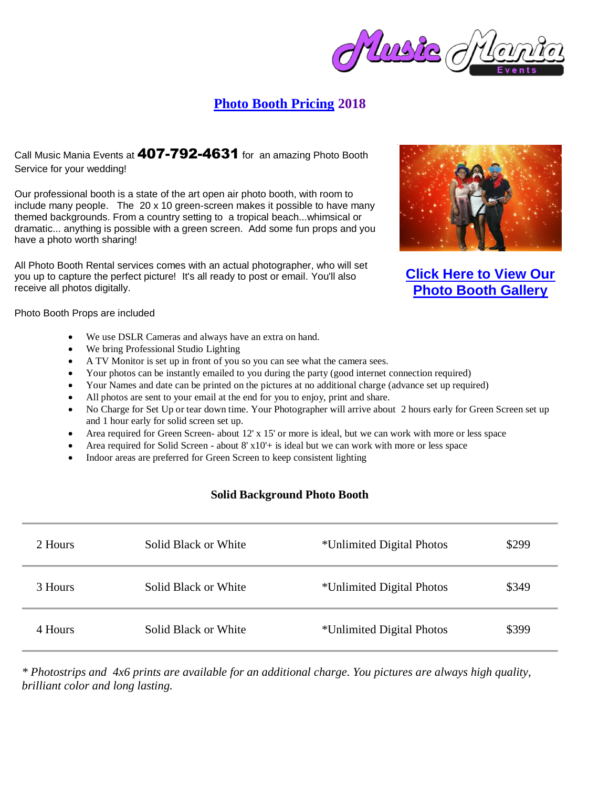## **[Photo Booth Pricing](http://musicmaniaevents.com/photo-booth.html#Pricing Information) 2018**

## Call Music Mania Events at 407-792-4631 for an amazing Photo Booth Service for your wedding!

Our professional booth is a state of the art open air photo booth, with room to include many people. The 20 x 10 green-screen makes it possible to have many themed backgrounds. From a country setting to a tropical beach...whimsical or dramatic... anything is possible with a green screen. Add some fun props and you have a photo worth sharing!

All Photo Booth Rental services comes with an actual photographer, who will set you up to capture the perfect picture! It's all ready to post or email. You'll also receive all photos digitally.



**[Click Here to View Our](http://musicmaniaevents.com/photo-booth-gallery.html) [Photo Booth Gallery](http://musicmaniaevents.com/photo-booth-gallery.html)**

Photo Booth Props are included

- We use DSLR Cameras and always have an extra on hand.
- We bring Professional Studio Lighting
- A TV Monitor is set up in front of you so you can see what the camera sees.
- Your photos can be instantly emailed to you during the party (good internet connection required)
- Your Names and date can be printed on the pictures at no additional charge (advance set up required)
- All photos are sent to your email at the end for you to enjoy, print and share.
- No Charge for Set Up or tear down time. Your Photographer will arrive about 2 hours early for Green Screen set up and 1 hour early for solid screen set up.
- Area required for Green Screen- about 12' x 15' or more is ideal, but we can work with more or less space
- Area required for Solid Screen about 8' x10'+ is ideal but we can work with more or less space
- Indoor areas are preferred for Green Screen to keep consistent lighting

## **Solid Background Photo Booth**

| 2 Hours | Solid Black or White | *Unlimited Digital Photos | \$299 |
|---------|----------------------|---------------------------|-------|
| 3 Hours | Solid Black or White | *Unlimited Digital Photos | \$349 |
| 4 Hours | Solid Black or White | *Unlimited Digital Photos | \$399 |

*\* Photostrips and 4x6 prints are available for an additional charge. You pictures are always high quality, brilliant color and long lasting.*